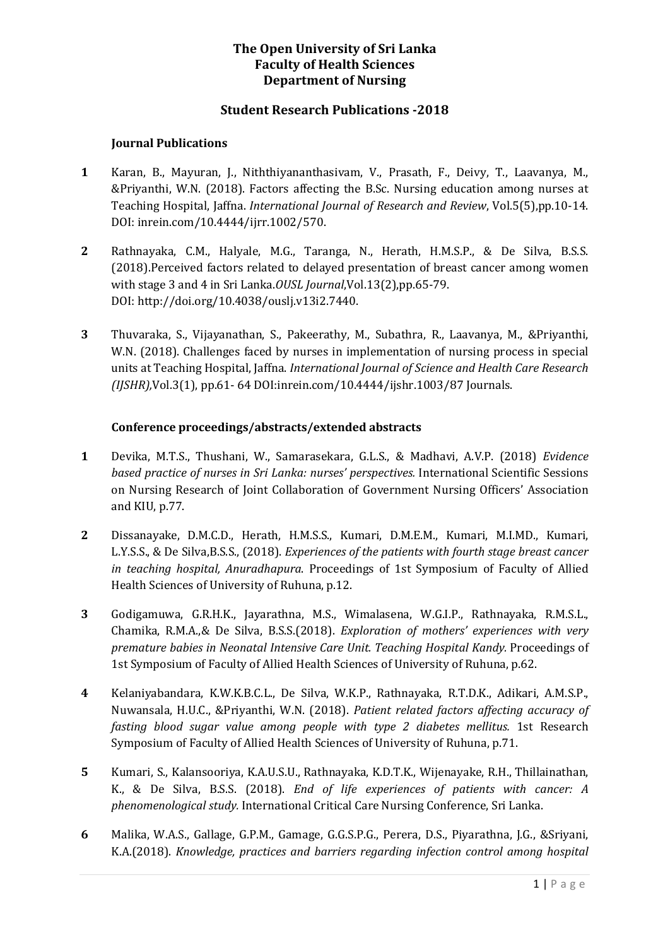# **The Open University of Sri Lanka Faculty of Health Sciences Department of Nursing**

### **Student Research Publications -2018**

#### **Journal Publications**

- **1** Karan, B., Mayuran, J., Niththiyananthasivam, V., Prasath, F., Deivy, T., Laavanya, M., &Priyanthi, W.N. (2018). Factors affecting the B.Sc. Nursing education among nurses at Teaching Hospital, Jaffna. *International Journal of Research and Review*, Vol.5(5),pp.10-14. DOI: inrein.com/10.4444/ijrr.1002/570.
- **2** Rathnayaka, C.M., Halyale, M.G., Taranga, N., Herath, H.M.S.P., & De Silva, B.S.S. (2018).Perceived factors related to delayed presentation of breast cancer among women with stage 3 and 4 in Sri Lanka.*OUSL Journal*,Vol.13(2),pp.65-79. DOI: http://doi.org/10.4038/ouslj.v13i2.7440.
- **3** Thuvaraka, S., Vijayanathan, S., Pakeerathy, M., Subathra, R., Laavanya, M., &Priyanthi, W.N. (2018). Challenges faced by nurses in implementation of nursing process in special units at Teaching Hospital, Jaffna. *International Journal of Science and Health Care Research (IJSHR),*Vol.3(1), pp.61- 64 DOI:inrein.com/10.4444/ijshr.1003/87 Journals.

### **Conference proceedings/abstracts/extended abstracts**

- **1** Devika, M.T.S., Thushani, W., Samarasekara, G.L.S., & Madhavi, A.V.P. (2018) *Evidence based practice of nurses in Sri Lanka: nurses' perspectives.* International Scientific Sessions on Nursing Research of Joint Collaboration of Government Nursing Officers' Association and KIU, p.77.
- **2** Dissanayake, D.M.C.D., Herath, H.M.S.S., Kumari, D.M.E.M., Kumari, M.I.MD., Kumari, L.Y.S.S., & De Silva,B.S.S., (2018). *Experiences of the patients with fourth stage breast cancer in teaching hospital, Anuradhapura*. Proceedings of 1st Symposium of Faculty of Allied Health Sciences of University of Ruhuna, p.12.
- **3** Godigamuwa, G.R.H.K., Jayarathna, M.S., Wimalasena, W.G.I.P., Rathnayaka, R.M.S.L., Chamika, R.M.A.,& De Silva, B.S.S.(2018). *Exploration of mothers' experiences with very premature babies in Neonatal Intensive Care Unit. Teaching Hospital Kandy.* Proceedings of 1st Symposium of Faculty of Allied Health Sciences of University of Ruhuna, p.62.
- **4** Kelaniyabandara, K.W.K.B.C.L., De Silva, W.K.P., Rathnayaka, R.T.D.K., Adikari, A.M.S.P., Nuwansala, H.U.C., &Priyanthi, W.N. (2018). *Patient related factors affecting accuracy of fasting blood sugar value among people with type 2 diabetes mellitus.* 1st Research Symposium of Faculty of Allied Health Sciences of University of Ruhuna, p.71.
- **5** Kumari, S., Kalansooriya, K.A.U.S.U., Rathnayaka, K.D.T.K., Wijenayake, R.H., Thillainathan, K., & De Silva, B.S.S. (2018). *End of life experiences of patients with cancer: A phenomenological study.* International Critical Care Nursing Conference, Sri Lanka.
- **6** Malika, W.A.S., Gallage, G.P.M., Gamage, G.G.S.P.G., Perera, D.S., Piyarathna, J.G., &Sriyani, K.A.(2018). *Knowledge, practices and barriers regarding infection control among hospital*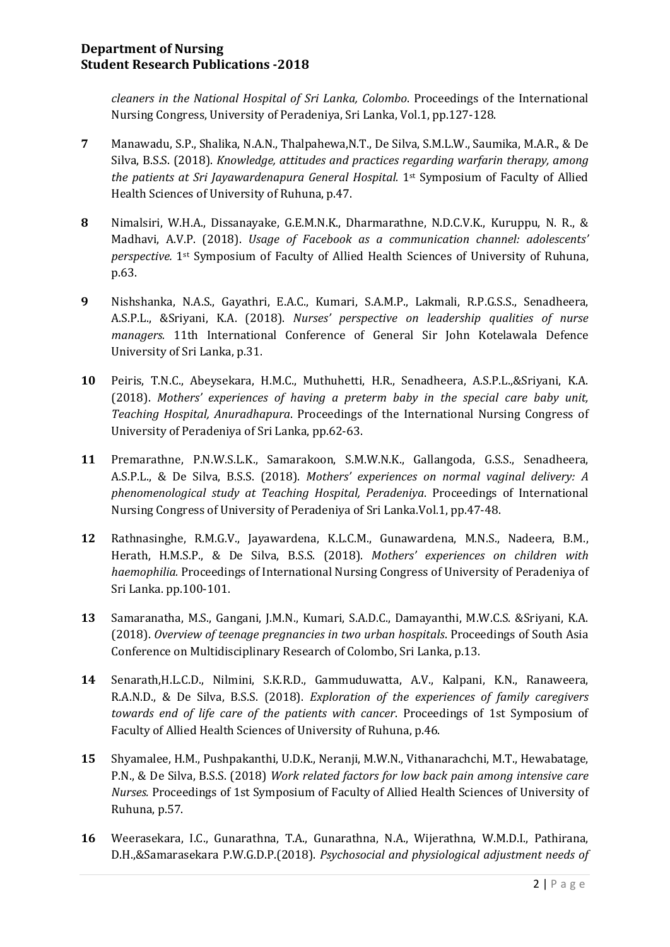# **Department of Nursing Student Research Publications -2018**

*cleaners in the National Hospital of Sri Lanka, Colombo*. Proceedings of the International Nursing Congress, University of Peradeniya, Sri Lanka, Vol.1, pp.127-128.

- **7** Manawadu, S.P., Shalika, N.A.N., Thalpahewa,N.T., De Silva, S.M.L.W., Saumika, M.A.R., & De Silva, B.S.S. (2018). *Knowledge, attitudes and practices regarding warfarin therapy, among the patients at Sri Jayawardenapura General Hospital.* 1<sup>st</sup> Symposium of Faculty of Allied Health Sciences of University of Ruhuna, p.47.
- **8** Nimalsiri, W.H.A., Dissanayake, G.E.M.N.K., Dharmarathne, N.D.C.V.K., Kuruppu, N. R., & Madhavi, A.V.P. (2018). *Usage of Facebook as a communication channel: adolescents' perspective.* 1st Symposium of Faculty of Allied Health Sciences of University of Ruhuna, p.63.
- **9** Nishshanka, N.A.S., Gayathri, E.A.C., Kumari, S.A.M.P., Lakmali, R.P.G.S.S., Senadheera, A.S.P.L., &Sriyani, K.A. (2018). *Nurses' perspective on leadership qualities of nurse managers.* 11th International Conference of General Sir John Kotelawala Defence University of Sri Lanka, p.31.
- **10** Peiris, T.N.C., Abeysekara, H.M.C., Muthuhetti, H.R., Senadheera, A.S.P.L.,&Sriyani, K.A. (2018). *Mothers' experiences of having a preterm baby in the special care baby unit, Teaching Hospital, Anuradhapura*. Proceedings of the International Nursing Congress of University of Peradeniya of Sri Lanka, pp.62-63.
- **11** Premarathne, P.N.W.S.L.K., Samarakoon, S.M.W.N.K., Gallangoda, G.S.S., Senadheera, A.S.P.L., & De Silva, B.S.S. (2018). *Mothers' experiences on normal vaginal delivery: A phenomenological study at Teaching Hospital, Peradeniya*. Proceedings of International Nursing Congress of University of Peradeniya of Sri Lanka.Vol.1, pp.47-48.
- **12** Rathnasinghe, R.M.G.V., Jayawardena, K.L.C.M., Gunawardena, M.N.S., Nadeera, B.M., Herath, H.M.S.P., & De Silva, B.S.S. (2018). *Mothers' experiences on children with haemophilia.* Proceedings of International Nursing Congress of University of Peradeniya of Sri Lanka. pp.100-101.
- **13** Samaranatha, M.S., Gangani, J.M.N., Kumari, S.A.D.C., Damayanthi, M.W.C.S. &Sriyani, K.A. (2018). *Overview of teenage pregnancies in two urban hospitals*. Proceedings of South Asia Conference on Multidisciplinary Research of Colombo, Sri Lanka, p.13.
- **14** Senarath,H.L.C.D., Nilmini, S.K.R.D., Gammuduwatta, A.V., Kalpani, K.N., Ranaweera, R.A.N.D., & De Silva, B.S.S. (2018). *Exploration of the experiences of family caregivers towards end of life care of the patients with cancer*. Proceedings of 1st Symposium of Faculty of Allied Health Sciences of University of Ruhuna, p.46.
- **15** Shyamalee, H.M., Pushpakanthi, U.D.K., Neranji, M.W.N., Vithanarachchi, M.T., Hewabatage, P.N., & De Silva, B.S.S. (2018) *Work related factors for low back pain among intensive care Nurses.* Proceedings of 1st Symposium of Faculty of Allied Health Sciences of University of Ruhuna, p.57.
- **16** Weerasekara, I.C., Gunarathna, T.A., Gunarathna, N.A., Wijerathna, W.M.D.I., Pathirana, D.H.,&Samarasekara P.W.G.D.P.(2018). *Psychosocial and physiological adjustment needs of*